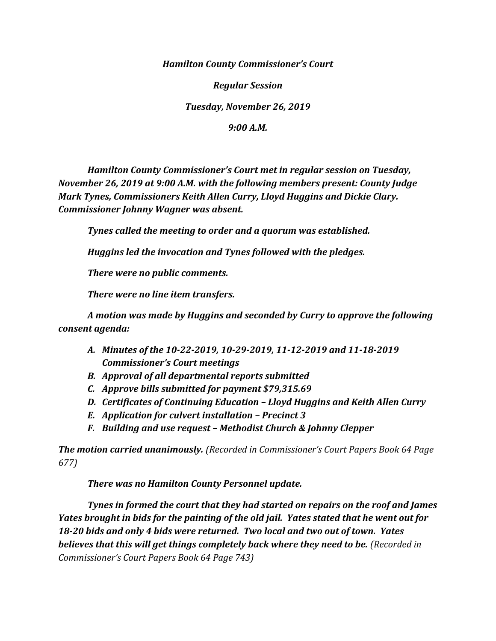*Hamilton County Commissioner's Court*

*Regular Session*

*Tuesday, November 26, 2019*

*9:00 A.M.*

*Hamilton County Commissioner's Court met in regular session on Tuesday, November 26, 2019 at 9:00 A.M. with the following members present: County Judge Mark Tynes, Commissioners Keith Allen Curry, Lloyd Huggins and Dickie Clary. Commissioner Johnny Wagner was absent.*

*Tynes called the meeting to order and a quorum was established.*

*Huggins led the invocation and Tynes followed with the pledges.*

*There were no public comments.*

*There were no line item transfers.*

*A motion was made by Huggins and seconded by Curry to approve the following consent agenda:*

- *A. Minutes of the 10-22-2019, 10-29-2019, 11-12-2019 and 11-18-2019 Commissioner's Court meetings*
- *B. Approval of all departmental reports submitted*
- *C. Approve bills submitted for payment \$79,315.69*
- *D. Certificates of Continuing Education – Lloyd Huggins and Keith Allen Curry*
- *E. Application for culvert installation – Precinct 3*
- *F. Building and use request – Methodist Church & Johnny Clepper*

*The motion carried unanimously. (Recorded in Commissioner's Court Papers Book 64 Page 677)*

*There was no Hamilton County Personnel update.*

*Tynes in formed the court that they had started on repairs on the roof and James Yates brought in bids for the painting of the old jail. Yates stated that he went out for 18-20 bids and only 4 bids were returned. Two local and two out of town. Yates believes that this will get things completely back where they need to be. (Recorded in Commissioner's Court Papers Book 64 Page 743)*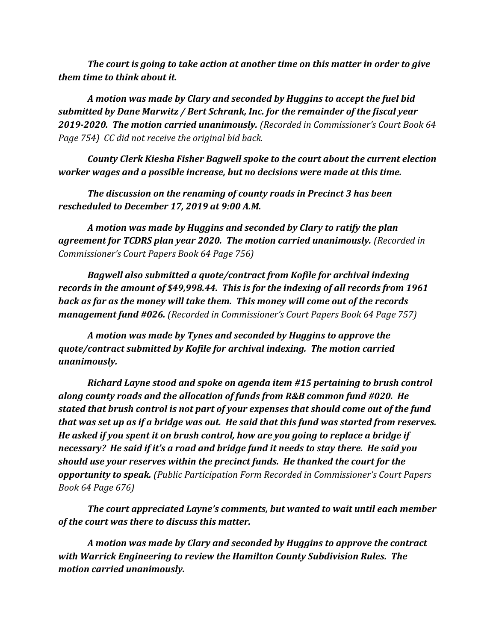*The court is going to take action at another time on this matter in order to give them time to think about it.*

*A motion was made by Clary and seconded by Huggins to accept the fuel bid submitted by Dane Marwitz / Bert Schrank, Inc. for the remainder of the fiscal year 2019-2020. The motion carried unanimously. (Recorded in Commissioner's Court Book 64 Page 754) CC did not receive the original bid back.*

*County Clerk Kiesha Fisher Bagwell spoke to the court about the current election worker wages and a possible increase, but no decisions were made at this time.*

*The discussion on the renaming of county roads in Precinct 3 has been rescheduled to December 17, 2019 at 9:00 A.M.*

*A motion was made by Huggins and seconded by Clary to ratify the plan agreement for TCDRS plan year 2020. The motion carried unanimously. (Recorded in Commissioner's Court Papers Book 64 Page 756)*

*Bagwell also submitted a quote/contract from Kofile for archival indexing records in the amount of \$49,998.44. This is for the indexing of all records from 1961 back as far as the money will take them. This money will come out of the records management fund #026. (Recorded in Commissioner's Court Papers Book 64 Page 757)*

*A motion was made by Tynes and seconded by Huggins to approve the quote/contract submitted by Kofile for archival indexing. The motion carried unanimously.*

*Richard Layne stood and spoke on agenda item #15 pertaining to brush control along county roads and the allocation of funds from R&B common fund #020. He stated that brush control is not part of your expenses that should come out of the fund that was set up as if a bridge was out. He said that this fund was started from reserves. He asked if you spent it on brush control, how are you going to replace a bridge if necessary? He said if it's a road and bridge fund it needs to stay there. He said you should use your reserves within the precinct funds. He thanked the court for the opportunity to speak. (Public Participation Form Recorded in Commissioner's Court Papers Book 64 Page 676)* 

*The court appreciated Layne's comments, but wanted to wait until each member of the court was there to discuss this matter.*

*A motion was made by Clary and seconded by Huggins to approve the contract with Warrick Engineering to review the Hamilton County Subdivision Rules. The motion carried unanimously.*